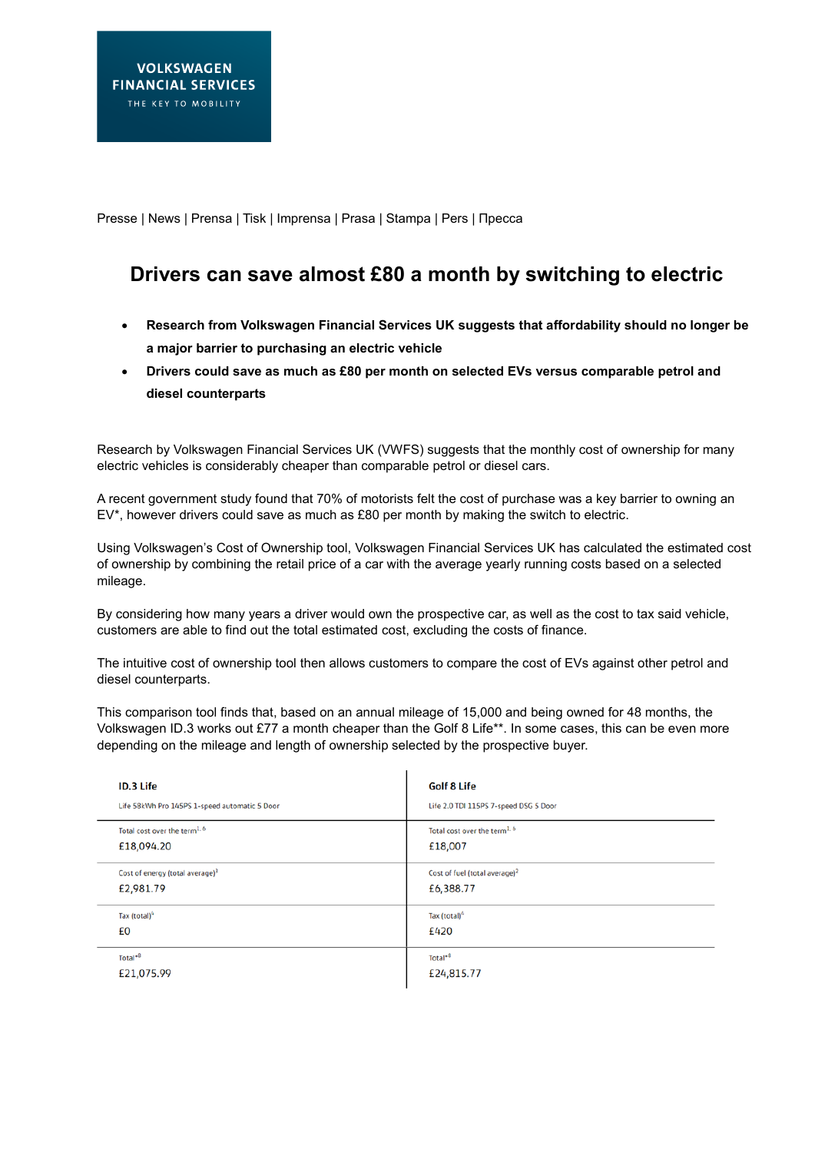Presse | News | Prensa | Tisk | Imprensa | Prasa | Stampa | Pers | Пресса

# **Drivers can save almost £80 a month by switching to electric**

- **Research from Volkswagen Financial Services UK suggests that affordability should no longer be a major barrier to purchasing an electric vehicle**
- **Drivers could save as much as £80 per month on selected EVs versus comparable petrol and diesel counterparts**

Research by Volkswagen Financial Services UK (VWFS) suggests that the monthly cost of ownership for many electric vehicles is considerably cheaper than comparable petrol or diesel cars.

A recent government study found that 70% of motorists felt the cost of purchase was a key barrier to owning an EV\*, however drivers could save as much as £80 per month by making the switch to electric.

Using Volkswagen's Cost of Ownership tool, Volkswagen Financial Services UK has calculated the estimated cost of ownership by combining the retail price of a car with the average yearly running costs based on a selected mileage.

By considering how many years a driver would own the prospective car, as well as the cost to tax said vehicle, customers are able to find out the total estimated cost, excluding the costs of finance.

The intuitive cost of ownership tool then allows customers to compare the cost of EVs against other petrol and diesel counterparts.

This comparison tool finds that, based on an annual mileage of 15,000 and being owned for 48 months, the Volkswagen ID.3 works out £77 a month cheaper than the Golf 8 Life\*\*. In some cases, this can be even more depending on the mileage and length of ownership selected by the prospective buyer.

| <b>ID.3 Life</b>                              | <b>Golf 8 Life</b>                        |
|-----------------------------------------------|-------------------------------------------|
| Life 58kWh Pro 145PS 1-speed automatic 5 Door | Life 2.0 TDI 115PS 7-speed DSG 5 Door     |
| Total cost over the term <sup>1, 6</sup>      | Total cost over the term <sup>1, 6</sup>  |
| £18,094.20                                    | £18,007                                   |
| Cost of energy (total average) <sup>3</sup>   | Cost of fuel (total average) <sup>2</sup> |
| £2,981.79                                     | £6,388.77                                 |
| Tax (total) <sup>4</sup>                      | Tax (total) <sup>4</sup>                  |
| £0                                            | £420                                      |
| Total*8                                       | Total <sup>*8</sup>                       |
| £21,075.99                                    | £24,815.77                                |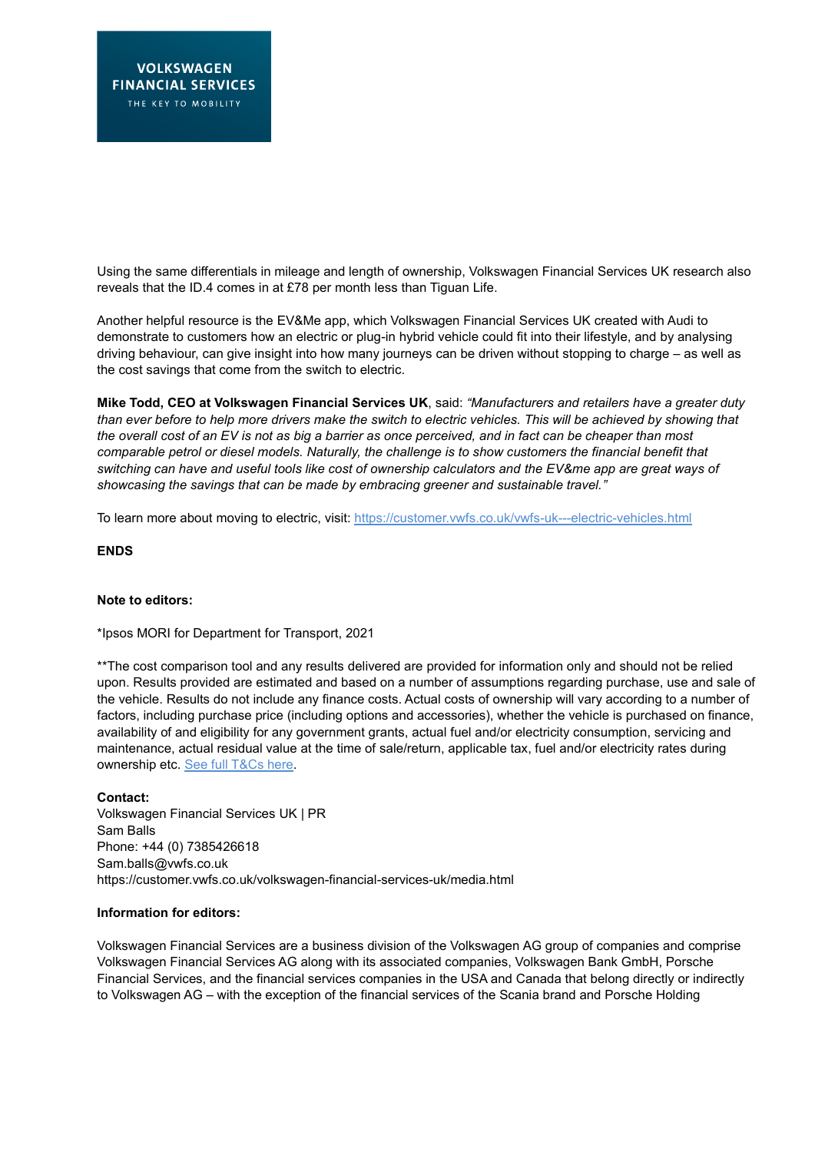Using the same differentials in mileage and length of ownership, Volkswagen Financial Services UK research also reveals that the ID.4 comes in at £78 per month less than Tiguan Life.

Another helpful resource is the [EV&Me app,](https://apps.apple.com/gb/app/ev-me-by-audi/id1499102563) which Volkswagen Financial Services UK created with Audi to demonstrate to customers how an electric or plug-in hybrid vehicle could fit into their lifestyle, and by analysing driving behaviour, can give insight into how many journeys can be driven without stopping to charge – as well as the cost savings that come from the switch to electric.

**Mike Todd, CEO at Volkswagen Financial Services UK**, said: *"Manufacturers and retailers have a greater duty than ever before to help more drivers make the switch to electric vehicles. This will be achieved by showing that the overall cost of an EV is not as big a barrier as once perceived, and in fact can be cheaper than most comparable petrol or diesel models. Naturally, the challenge is to show customers the financial benefit that switching can have and useful tools like cost of ownership calculators and the EV&me app are great ways of showcasing the savings that can be made by embracing greener and sustainable travel."*

To learn more about moving to electric, visit: <https://customer.vwfs.co.uk/vwfs-uk---electric-vehicles.html>

## **ENDS**

## **Note to editors:**

\*Ipsos MORI for Department for Transport, 2021

\*\*The cost comparison tool and any results delivered are provided for information only and should not be relied upon. Results provided are estimated and based on a number of assumptions regarding purchase, use and sale of the vehicle. Results do not include any finance costs. Actual costs of ownership will vary according to a number of factors, including purchase price (including options and accessories), whether the vehicle is purchased on finance, availability of and eligibility for any government grants, actual fuel and/or electricity consumption, servicing and maintenance, actual residual value at the time of sale/return, applicable tax, fuel and/or electricity rates during ownership etc. [See full T&Cs here.](https://www.volkswagen.co.uk/en/electric-and-hybrid/should-you-go-electric/cost-savings/cost-of-running-your-car.html?primaryCar=CB56YY-2020-GPAHPAH-GPA5PA5-GPDAPDA-GPEZPEZ-GPIFPIF-GPQRPQR-GPXAPXA-GRCCRCC-MSNRSB3-GWD4WD4-GWL1WL1-GW15W15-GYOSYOS-MSSH4KF-MASE6XI&secondaryCar=AW13GV-2020-MAAUE0J-GPH1PH1-GPI9PI9-GPU2PU2-GP11P11-MTVEQV3-MESSUQ5-GWD1WD1-GYOIYOI-GZEBZEB-MZFM0TD-MRER1G8-MSSH4KF-MNES8WH-MAUD9WT#/car/compare)

### **Contact:**

Volkswagen Financial Services UK | PR Sam Balls Phone: +44 (0) 7385426618 Sam.balls@vwfs.co.uk <https://customer.vwfs.co.uk/volkswagen-financial-services-uk/media.html>

## **Information for editors:**

Volkswagen Financial Services are a business division of the Volkswagen AG group of companies and comprise Volkswagen Financial Services AG along with its associated companies, Volkswagen Bank GmbH, Porsche Financial Services, and the financial services companies in the USA and Canada that belong directly or indirectly to Volkswagen AG – with the exception of the financial services of the Scania brand and Porsche Holding